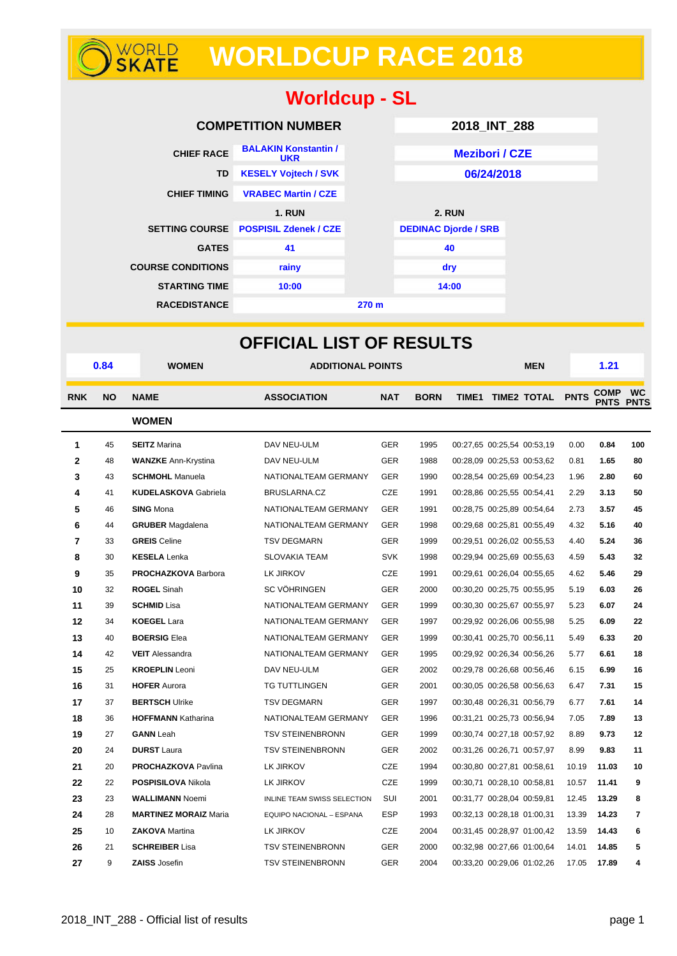# **WORLD WORLDCUP RACE 2018**

| <b>Worldcup - SL</b>                   |          |                                                        |                                                         |                   |                             |               |                            |                                                          |                |                                 |           |
|----------------------------------------|----------|--------------------------------------------------------|---------------------------------------------------------|-------------------|-----------------------------|---------------|----------------------------|----------------------------------------------------------|----------------|---------------------------------|-----------|
|                                        |          |                                                        | <b>COMPETITION NUMBER</b>                               |                   | 2018_INT_288                |               |                            |                                                          |                |                                 |           |
|                                        |          | <b>CHIEF RACE</b>                                      | <b>BALAKIN Konstantin /</b>                             |                   |                             |               | <b>Mezibori / CZE</b>      |                                                          |                |                                 |           |
| TD                                     |          |                                                        | <b>UKR</b><br><b>KESELY Vojtech / SVK</b>               |                   |                             |               | 06/24/2018                 |                                                          |                |                                 |           |
|                                        |          | <b>CHIEF TIMING</b>                                    | <b>VRABEC Martin / CZE</b>                              |                   |                             |               |                            |                                                          |                |                                 |           |
|                                        |          |                                                        | <b>1. RUN</b>                                           |                   |                             | <b>2. RUN</b> |                            |                                                          |                |                                 |           |
|                                        |          |                                                        | SETTING COURSE POSPISIL Zdenek / CZE                    |                   | <b>DEDINAC Djorde / SRB</b> |               |                            |                                                          |                |                                 |           |
|                                        |          | <b>GATES</b>                                           | 41                                                      |                   |                             | 40            |                            |                                                          |                |                                 |           |
|                                        |          | <b>COURSE CONDITIONS</b>                               | rainy                                                   |                   |                             | dry           |                            |                                                          |                |                                 |           |
|                                        |          | <b>STARTING TIME</b>                                   | 10:00                                                   |                   |                             | 14:00         |                            |                                                          |                |                                 |           |
|                                        |          | <b>RACEDISTANCE</b>                                    | 270 m                                                   |                   |                             |               |                            |                                                          |                |                                 |           |
|                                        |          |                                                        |                                                         |                   |                             |               |                            |                                                          |                |                                 |           |
|                                        |          |                                                        | <b>OFFICIAL LIST OF RESULTS</b>                         |                   |                             |               |                            |                                                          |                |                                 |           |
|                                        | 0.84     | <b>WOMEN</b>                                           | <b>ADDITIONAL POINTS</b>                                |                   |                             |               |                            | <b>MEN</b>                                               |                | 1.21                            |           |
| <b>RNK</b><br><b>NO</b><br><b>NAME</b> |          |                                                        | <b>ASSOCIATION</b><br><b>NAT</b>                        |                   | <b>BORN</b>                 |               |                            | TIME1 TIME2 TOTAL PNTS                                   |                | <b>COMP</b><br><b>PNTS PNTS</b> | <b>WC</b> |
|                                        |          | <b>WOMEN</b>                                           |                                                         |                   |                             |               |                            |                                                          |                |                                 |           |
| 1                                      | 45       | <b>SEITZ</b> Marina                                    | DAV NEU-ULM                                             | <b>GER</b>        | 1995                        |               |                            | 00:27,65 00:25,54 00:53,19                               | 0.00           | 0.84                            | 100       |
| 2                                      | 48       | <b>WANZKE</b> Ann-Krystina                             | DAV NEU-ULM                                             | <b>GER</b>        | 1988                        |               |                            | 00:28,09 00:25,53 00:53,62                               | 0.81           | 1.65                            | 80        |
| 3                                      | 43       | <b>SCHMOHL</b> Manuela                                 | NATIONALTEAM GERMANY                                    | <b>GER</b>        | 1990                        |               |                            | 00:28,54 00:25,69 00:54,23                               | 1.96           | 2.80                            | 60        |
| 4                                      | 41       | <b>KUDELASKOVA Gabriela</b>                            | BRUSLARNA.CZ                                            | CZE               | 1991                        |               | 00:28,86 00:25,55 00:54,41 |                                                          | 2.29           | 3.13                            | 50        |
| 5                                      | 46       | <b>SING Mona</b>                                       | NATIONALTEAM GERMANY                                    | <b>GER</b>        | 1991                        |               |                            | 00:28,75 00:25,89 00:54,64                               | 2.73           | 3.57                            | 45        |
| 6                                      | 44       | <b>GRUBER</b> Magdalena                                | NATIONALTEAM GERMANY                                    | <b>GER</b>        | 1998                        |               |                            | 00:29,68 00:25,81 00:55,49                               | 4.32           | 5.16                            | 40        |
| 7                                      | 33       | <b>GREIS</b> Celine                                    | <b>TSV DEGMARN</b><br><b>SLOVAKIA TEAM</b>              | <b>GER</b>        | 1999                        |               |                            | 00:29,51 00:26,02 00:55,53                               | 4.40           | 5.24                            | 36        |
| 8<br>9                                 | 30<br>35 | <b>KESELA</b> Lenka<br><b>PROCHAZKOVA Barbora</b>      | LK JIRKOV                                               | <b>SVK</b><br>CZE | 1998<br>1991                |               |                            | 00:29,94 00:25,69 00:55,63<br>00:29.61 00:26.04 00:55.65 | 4.59<br>4.62   | 5.43<br>5.46                    | 32<br>29  |
| 10                                     | 32       | <b>ROGEL Sinah</b>                                     | SC VÖHRINGEN                                            | ${\tt GER}$       | 2000                        |               |                            | 00:30,20 00:25,75 00:55,95                               | 5.19           | 6.03                            | 26        |
| 11                                     | 39       | <b>SCHMID</b> Lisa                                     | NATIONALTEAM GERMANY                                    | GER               | 1999                        |               |                            | 00:30,30 00:25,67 00:55,97                               | 5.23           | 6.07                            | 24        |
| 12                                     | 34       | <b>KOEGEL Lara</b>                                     | NATIONALTEAM GERMANY                                    | GER               | 1997                        |               |                            | 00:29,92 00:26,06 00:55,98                               | 5.25           | 6.09                            | 22        |
| 13                                     | 40       | <b>BOERSIG Elea</b>                                    | NATIONALTEAM GERMANY                                    | GER               | 1999                        |               |                            | 00:30,41 00:25,70 00:56,11                               | 5.49           | 6.33                            | 20        |
| 14                                     | 42       | <b>VEIT</b> Alessandra                                 | NATIONALTEAM GERMANY                                    | GER               | 1995                        |               |                            | 00:29,92 00:26,34 00:56,26                               | 5.77           | 6.61                            | 18        |
| 15                                     | 25       | <b>KROEPLIN</b> Leoni                                  | DAV NEU-ULM                                             | GER               | 2002                        |               |                            | 00:29,78 00:26,68 00:56,46                               | 6.15           | 6.99                            | 16        |
| 16                                     | 31       | <b>HOFER Aurora</b>                                    | TG TUTTLINGEN                                           | GER               | 2001                        |               |                            | 00:30,05 00:26,58 00:56,63                               | 6.47           | 7.31                            | 15        |
| 17                                     | 37       | <b>BERTSCH Ulrike</b>                                  | <b>TSV DEGMARN</b>                                      | GER               | 1997                        |               |                            | 00:30,48 00:26,31 00:56,79                               | 6.77           | 7.61                            | 14        |
| 18                                     | 36       | <b>HOFFMANN Katharina</b>                              | NATIONALTEAM GERMANY                                    | GER               | 1996                        |               |                            | 00:31,21 00:25,73 00:56,94                               | 7.05           | 7.89                            | 13        |
| 19                                     | 27       | <b>GANN</b> Leah                                       | <b>TSV STEINENBRONN</b>                                 | GER               | 1999                        |               |                            | 00:30.74 00:27.18 00:57.92                               | 8.89           | 9.73                            | 12        |
| 20                                     | 24       | <b>DURST</b> Laura                                     | <b>TSV STEINENBRONN</b>                                 | GER               | 2002                        |               |                            | 00:31,26 00:26,71 00:57,97                               | 8.99           | 9.83                            | 11        |
| 21                                     | 20       | <b>PROCHAZKOVA Pavlina</b>                             | LK JIRKOV                                               | CZE               | 1994                        |               |                            | 00:30,80 00:27,81 00:58,61                               | 10.19          | 11.03                           | 10        |
| 22                                     | 22       | <b>POSPISILOVA Nikola</b>                              | LK JIRKOV                                               | CZE               | 1999                        |               |                            | 00:30,71 00:28,10 00:58,81                               | 10.57          | 11.41                           | 9         |
| 23<br>24                               | 23<br>28 | <b>WALLIMANN Noemi</b><br><b>MARTINEZ MORAIZ Maria</b> | INLINE TEAM SWISS SELECTION<br>EQUIPO NACIONAL - ESPANA | SUI<br>ESP        | 2001<br>1993                |               |                            | 00:31,77 00:28,04 00:59,81<br>00:32,13 00:28,18 01:00,31 | 12.45<br>13.39 | 13.29<br>14.23                  | 8<br>7    |
|                                        |          |                                                        |                                                         |                   |                             |               |                            |                                                          |                |                                 |           |

**26** 21 **SCHREIBER** Lisa TSV STEINENBRONN GER 2000 00:32,98 00:27,66 01:00,64 14.01 **14.85 5 27** 9 **ZAISS** Josefin TSV STEINENBRONN GER 2004 00:33,20 00:29,06 01:02,26 17.05 **17.89 4**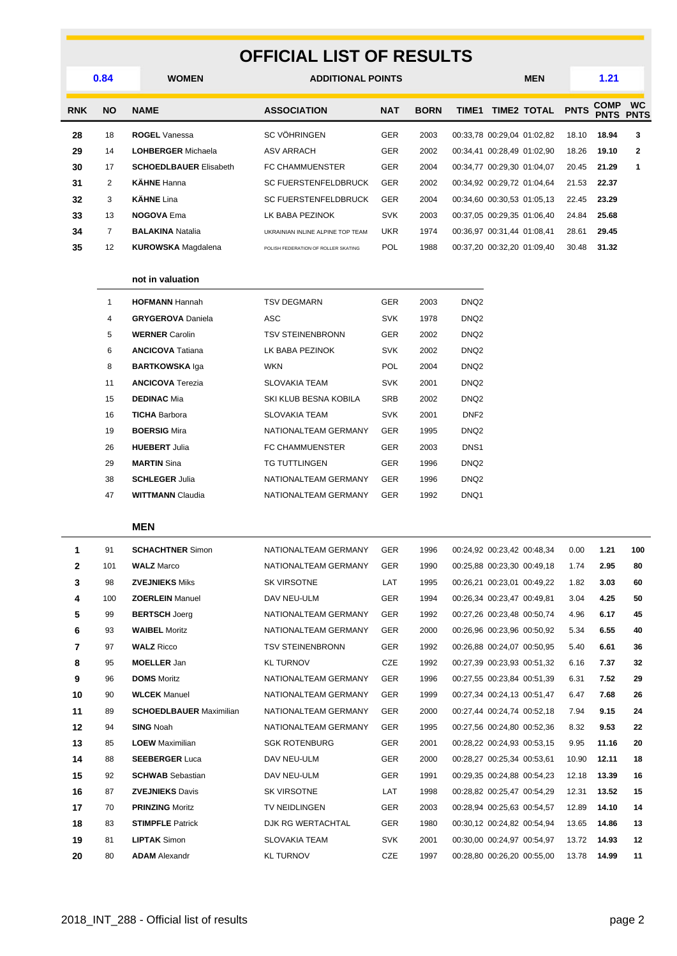## **OFFICIAL LIST OF RESULTS**

| 0.84       |                | <b>WOMEN</b>                  | <b>ADDITIONAL POINTS</b>            |            |             | <b>MEN</b> |                            | 1.21        |                            |                          |
|------------|----------------|-------------------------------|-------------------------------------|------------|-------------|------------|----------------------------|-------------|----------------------------|--------------------------|
| <b>RNK</b> | <b>NO</b>      | <b>NAME</b>                   | <b>ASSOCIATION</b><br><b>NAT</b>    |            | <b>BORN</b> | TIME1      | <b>TIME2 TOTAL</b>         | <b>PNTS</b> | <b>COMP</b><br><b>PNTS</b> | <b>WC</b><br><b>PNTS</b> |
| 28         | 18             | <b>ROGEL Vanessa</b>          | <b>SC VÖHRINGEN</b>                 | <b>GER</b> | 2003        |            | 00:33,78 00:29,04 01:02,82 | 18.10       | 18.94                      | 3                        |
| 29         | 14             | <b>LOHBERGER Michaela</b>     | <b>ASV ARRACH</b>                   | <b>GER</b> | 2002        |            | 00:34,41 00:28,49 01:02,90 | 18.26       | 19.10                      | $\mathbf{2}$             |
| 30         | 17             | <b>SCHOEDLBAUER Elisabeth</b> | <b>FC CHAMMUENSTER</b>              | <b>GER</b> | 2004        |            | 00:34.77 00:29.30 01:04.07 | 20.45       | 21.29                      |                          |
| 31         | $\overline{2}$ | <b>KÄHNE</b> Hanna            | <b>SC FUERSTENFELDBRUCK</b>         | <b>GER</b> | 2002        |            | 00:34.92 00:29.72 01:04.64 | 21.53       | 22.37                      |                          |
| 32         | 3              | <b>KÄHNE</b> Lina             | <b>SC FUERSTENFELDBRUCK</b>         | <b>GER</b> | 2004        |            | 00:34.60 00:30.53 01:05.13 | 22.45       | 23.29                      |                          |
| 33         | 13             | <b>NOGOVA Ema</b>             | LK BABA PEZINOK                     | <b>SVK</b> | 2003        |            | 00:37,05 00:29,35 01:06,40 | 24.84       | 25.68                      |                          |
| 34         |                | <b>BALAKINA Natalia</b>       | UKRAINIAN INLINE ALPINE TOP TEAM    | <b>UKR</b> | 1974        |            | 00:36.97 00:31.44 01:08.41 | 28.61       | 29.45                      |                          |
| 35         | 12             | <b>KUROWSKA</b> Magdalena     | POLISH FEDERATION OF ROLLER SKATING | <b>POL</b> | 1988        |            | 00:37.20 00:32.20 01:09.40 | 30.48       | 31.32                      |                          |
|            |                |                               |                                     |            |             |            |                            |             |                            |                          |

#### **not in valuation**

| 1  | <b>HOFMANN Hannah</b>    | TSV DEGMARN             | <b>GER</b> | 2003 | DNQ <sub>2</sub> |
|----|--------------------------|-------------------------|------------|------|------------------|
| 4  | <b>GRYGEROVA Daniela</b> | ASC                     | <b>SVK</b> | 1978 | DNQ <sub>2</sub> |
| 5  | <b>WERNER Carolin</b>    | <b>TSV STEINENBRONN</b> | <b>GER</b> | 2002 | DNQ <sub>2</sub> |
| 6  | <b>ANCICOVA Tatiana</b>  | LK BABA PEZINOK         | <b>SVK</b> | 2002 | DNQ <sub>2</sub> |
| 8  | <b>BARTKOWSKA Iga</b>    | <b>WKN</b>              | <b>POL</b> | 2004 | DNQ <sub>2</sub> |
| 11 | <b>ANCICOVA</b> Terezia  | <b>SLOVAKIA TEAM</b>    | <b>SVK</b> | 2001 | DNQ <sub>2</sub> |
| 15 | <b>DEDINAC Mia</b>       | SKI KLUB BESNA KOBILA   | <b>SRB</b> | 2002 | DNQ <sub>2</sub> |
| 16 | <b>TICHA Barbora</b>     | <b>SLOVAKIA TEAM</b>    | <b>SVK</b> | 2001 | DNF <sub>2</sub> |
| 19 | <b>BOERSIG Mira</b>      | NATIONALTEAM GERMANY    | <b>GER</b> | 1995 | DNQ <sub>2</sub> |
| 26 | <b>HUEBERT Julia</b>     | <b>FC CHAMMUENSTER</b>  | <b>GER</b> | 2003 | DNS <sub>1</sub> |
| 29 | <b>MARTIN Sina</b>       | TG TUTTLINGEN           | <b>GER</b> | 1996 | DNQ <sub>2</sub> |
| 38 | <b>SCHLEGER Julia</b>    | NATIONALTEAM GERMANY    | <b>GER</b> | 1996 | DNQ <sub>2</sub> |
| 47 | <b>WITTMANN Claudia</b>  | NATIONALTEAM GERMANY    | <b>GER</b> | 1992 | DNQ1             |

#### **MEN**

| 1              | 91  | <b>SCHACHTNER Simon</b>        | NATIONALTEAM GERMANY    | <b>GER</b> | 1996 | 00:24,92 00:23,42 00:48,34 | 0.00  | 1.21  | 100 |
|----------------|-----|--------------------------------|-------------------------|------------|------|----------------------------|-------|-------|-----|
| $\mathbf{2}$   | 101 | <b>WALZ Marco</b>              | NATIONALTEAM GERMANY    | <b>GER</b> | 1990 | 00:25.88 00:23,30 00:49,18 | 1.74  | 2.95  | 80  |
| 3              | 98  | <b>ZVEJNIEKS Miks</b>          | <b>SK VIRSOTNE</b>      | LAT        | 1995 | 00:26,21 00:23,01 00:49,22 | 1.82  | 3.03  | 60  |
| 4              | 100 | <b>ZOERLEIN Manuel</b>         | DAV NEU-ULM             | <b>GER</b> | 1994 | 00:26.34 00:23.47 00:49.81 | 3.04  | 4.25  | 50  |
| 5              | 99  | <b>BERTSCH Joerg</b>           | NATIONALTEAM GERMANY    | <b>GER</b> | 1992 | 00:27,26 00:23,48 00:50,74 | 4.96  | 6.17  | 45  |
| 6              | 93  | <b>WAIBEL Moritz</b>           | NATIONALTEAM GERMANY    | <b>GER</b> | 2000 | 00:26,96 00:23,96 00:50,92 | 5.34  | 6.55  | 40  |
| $\overline{7}$ | 97  | <b>WALZ Ricco</b>              | <b>TSV STEINENBRONN</b> | <b>GER</b> | 1992 | 00:26.88 00:24.07 00:50.95 | 5.40  | 6.61  | 36  |
| 8              | 95  | <b>MOELLER</b> Jan             | <b>KL TURNOV</b>        | <b>CZE</b> | 1992 | 00:27.39 00:23.93 00:51.32 | 6.16  | 7.37  | 32  |
| 9              | 96  | <b>DOMS</b> Moritz             | NATIONALTEAM GERMANY    | <b>GER</b> | 1996 | 00:27,55 00:23,84 00:51,39 | 6.31  | 7.52  | 29  |
| 10             | 90  | <b>WLCEK Manuel</b>            | NATIONALTEAM GERMANY    | <b>GER</b> | 1999 | 00:27,34 00:24,13 00:51,47 | 6.47  | 7.68  | 26  |
| 11             | 89  | <b>SCHOEDLBAUER Maximilian</b> | NATIONALTEAM GERMANY    | <b>GER</b> | 2000 | 00:27,44 00:24,74 00:52,18 | 7.94  | 9.15  | 24  |
| 12             | 94  | <b>SING Noah</b>               | NATIONALTEAM GERMANY    | <b>GER</b> | 1995 | 00:27,56 00:24,80 00:52,36 | 8.32  | 9.53  | 22  |
| 13             | 85  | <b>LOEW</b> Maximilian         | <b>SGK ROTENBURG</b>    | <b>GER</b> | 2001 | 00:28,22 00:24,93 00:53,15 | 9.95  | 11.16 | 20  |
| 14             | 88  | <b>SEEBERGER Luca</b>          | DAV NEU-ULM             | <b>GER</b> | 2000 | 00:28,27 00:25,34 00:53,61 | 10.90 | 12.11 | 18  |
| 15             | 92  | <b>SCHWAB</b> Sebastian        | DAV NEU-ULM             | <b>GER</b> | 1991 | 00:29.35 00:24.88 00:54.23 | 12.18 | 13.39 | 16  |
| 16             | 87  | <b>ZVEJNIEKS Davis</b>         | <b>SK VIRSOTNE</b>      | LAT        | 1998 | 00:28.82 00:25.47 00:54.29 | 12.31 | 13.52 | 15  |
| 17             | 70  | <b>PRINZING Moritz</b>         | <b>TV NEIDLINGEN</b>    | <b>GER</b> | 2003 | 00:28,94 00:25,63 00:54,57 | 12.89 | 14.10 | 14  |
| 18             | 83  | <b>STIMPFLE Patrick</b>        | DJK RG WERTACHTAL       | <b>GER</b> | 1980 | 00:30,12 00:24,82 00:54,94 | 13.65 | 14.86 | 13  |
| 19             | 81  | <b>LIPTAK Simon</b>            | <b>SLOVAKIA TEAM</b>    | <b>SVK</b> | 2001 | 00:30.00 00:24.97 00:54.97 | 13.72 | 14.93 | 12  |
| 20             | 80  | <b>ADAM</b> Alexandr           | <b>KL TURNOV</b>        | <b>CZE</b> | 1997 | 00:28,80 00:26,20 00:55,00 | 13.78 | 14.99 | 11  |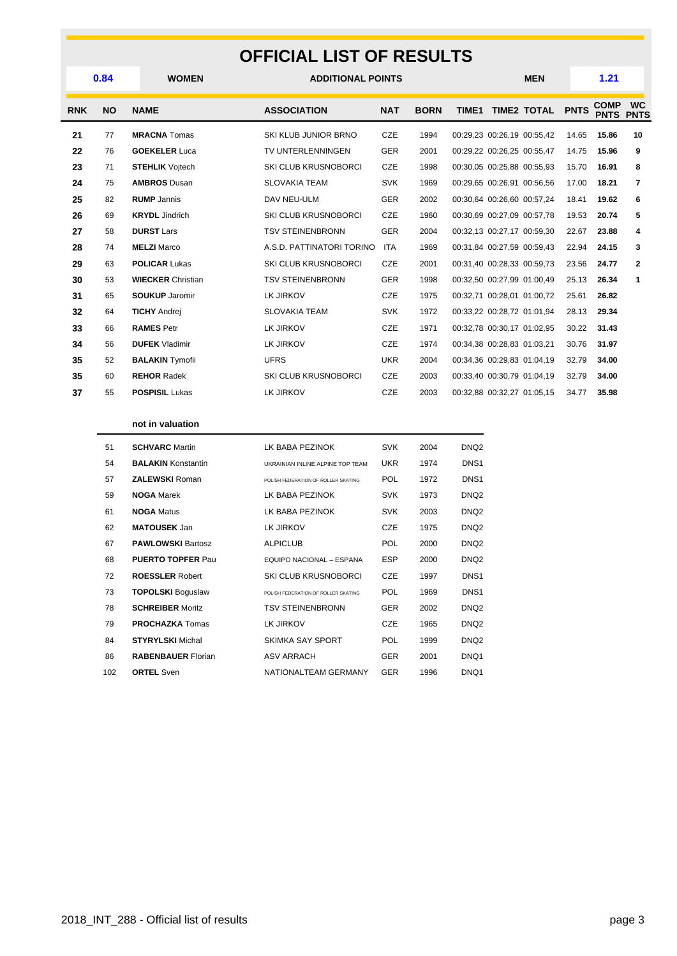#### **OFFICIAL LIST OF RESULTS**

| 0.84<br><b>NO</b><br><b>RNK</b> |    | <b>WOMEN</b>             |                             | <b>ADDITIONAL POINTS</b> |             |                            |  | <b>MEN</b>                 |             | 1.21                       |                          |  |
|---------------------------------|----|--------------------------|-----------------------------|--------------------------|-------------|----------------------------|--|----------------------------|-------------|----------------------------|--------------------------|--|
|                                 |    | <b>NAME</b>              | <b>ASSOCIATION</b>          | <b>NAT</b>               | <b>BORN</b> | TIME1                      |  | <b>TIME2 TOTAL</b>         | <b>PNTS</b> | <b>COMP</b><br><b>PNTS</b> | <b>WC</b><br><b>PNTS</b> |  |
| 21                              | 77 | <b>MRACNA</b> Tomas      | SKI KLUB JUNIOR BRNO        | CZE                      | 1994        |                            |  | 00:29.23 00:26.19 00:55.42 | 14.65       | 15.86                      | 10                       |  |
| 22                              | 76 | <b>GOEKELER Luca</b>     | TV UNTERLENNINGEN           | <b>GER</b>               | 2001        |                            |  | 00:29,22 00:26,25 00:55,47 | 14.75       | 15.96                      | 9                        |  |
| 23                              | 71 | <b>STEHLIK</b> Voitech   | SKI CLUB KRUSNOBORCI        | <b>CZE</b>               | 1998        |                            |  | 00:30.05 00:25.88 00:55.93 | 15.70       | 16.91                      | 8                        |  |
| 24                              | 75 | <b>AMBROS Dusan</b>      | <b>SLOVAKIA TEAM</b>        | <b>SVK</b>               | 1969        |                            |  | 00:29.65 00:26.91 00:56.56 | 17.00       | 18.21                      | 7                        |  |
| 25                              | 82 | <b>RUMP</b> Jannis       | DAV NEU-ULM                 | <b>GER</b>               | 2002        |                            |  | 00:30.64 00:26.60 00:57.24 | 18.41       | 19.62                      | 6                        |  |
| 26                              | 69 | <b>KRYDL</b> Jindrich    | <b>SKI CLUB KRUSNOBORCI</b> | CZE                      | 1960        |                            |  | 00:30.69 00:27.09 00:57.78 | 19.53       | 20.74                      | 5                        |  |
| 27                              | 58 | <b>DURST Lars</b>        | <b>TSV STEINENBRONN</b>     | <b>GER</b>               | 2004        |                            |  | 00:32,13 00:27,17 00:59,30 | 22.67       | 23.88                      | 4                        |  |
| 28                              | 74 | <b>MELZI Marco</b>       | A.S.D. PATTINATORI TORINO   | <b>ITA</b>               | 1969        |                            |  | 00:31,84 00:27,59 00:59,43 | 22.94       | 24.15                      | 3                        |  |
| 29                              | 63 | <b>POLICAR Lukas</b>     | <b>SKI CLUB KRUSNOBORCI</b> | CZE                      | 2001        |                            |  | 00:31,40 00:28,33 00:59,73 | 23.56       | 24.77                      | $\mathbf{2}$             |  |
| 30                              | 53 | <b>WIECKER Christian</b> | <b>TSV STEINENBRONN</b>     | <b>GER</b>               | 1998        |                            |  | 00:32,50 00:27,99 01:00,49 | 25.13       | 26.34                      | 1                        |  |
| 31                              | 65 | <b>SOUKUP Jaromir</b>    | LK JIRKOV                   | <b>CZE</b>               | 1975        |                            |  | 00:32.71 00:28.01 01:00.72 | 25.61       | 26.82                      |                          |  |
| 32                              | 64 | <b>TICHY Andrej</b>      | <b>SLOVAKIA TEAM</b>        | <b>SVK</b>               | 1972        |                            |  | 00:33,22 00:28,72 01:01,94 | 28.13       | 29.34                      |                          |  |
| 33                              | 66 | <b>RAMES Petr</b>        | LK JIRKOV                   | <b>CZE</b>               | 1971        |                            |  | 00:32,78 00:30,17 01:02,95 | 30.22       | 31.43                      |                          |  |
| 34                              | 56 | <b>DUFEK Vladimir</b>    | LK JIRKOV                   | CZE                      | 1974        | 00:34,38 00:28,83 01:03,21 |  |                            | 30.76       | 31.97                      |                          |  |
| 35                              | 52 | <b>BALAKIN</b> Tymofii   | <b>UFRS</b>                 | <b>UKR</b>               | 2004        |                            |  | 00:34,36 00:29,83 01:04,19 | 32.79       | 34.00                      |                          |  |
| 35                              | 60 | <b>REHOR Radek</b>       | <b>SKI CLUB KRUSNOBORCI</b> | <b>CZE</b>               | 2003        |                            |  | 00:33,40 00:30,79 01:04,19 | 32.79       | 34.00                      |                          |  |
| 37                              | 55 | <b>POSPISIL Lukas</b>    | LK JIRKOV                   | <b>CZE</b>               | 2003        |                            |  | 00:32,88 00:32,27 01:05,15 | 34.77       | 35.98                      |                          |  |
|                                 |    |                          |                             |                          |             |                            |  |                            |             |                            |                          |  |

#### **not in valuation**

| 51  | <b>SCHVARC Martin</b>     | <b>I K BABA PEZINOK</b>             | <b>SVK</b> | 2004 | DNQ <sub>2</sub> |
|-----|---------------------------|-------------------------------------|------------|------|------------------|
| 54  | <b>BALAKIN Konstantin</b> | UKRAINIAN INLINE ALPINE TOP TEAM    | <b>UKR</b> | 1974 | DNS <sub>1</sub> |
| 57  | <b>ZALEWSKI Roman</b>     | POLISH FEDERATION OF ROLLER SKATING | <b>POL</b> | 1972 | DNS <sub>1</sub> |
| 59  | <b>NOGA Marek</b>         | <b>I K BABA PEZINOK</b>             | <b>SVK</b> | 1973 | DNQ <sub>2</sub> |
| 61  | <b>NOGA Matus</b>         | LK BABA PEZINOK                     | <b>SVK</b> | 2003 | DNQ <sub>2</sub> |
| 62  | <b>MATOUSEK</b> Jan       | LK JIRKOV                           | CZE        | 1975 | DNQ <sub>2</sub> |
| 67  | <b>PAWLOWSKI Bartosz</b>  | <b>ALPICLUB</b>                     | <b>POL</b> | 2000 | DNQ <sub>2</sub> |
| 68  | <b>PUERTO TOPFER Paul</b> | EQUIPO NACIONAL - ESPANA            | <b>ESP</b> | 2000 | DNQ <sub>2</sub> |
| 72  | <b>ROESSLER Robert</b>    | <b>SKI CLUB KRUSNOBORCI</b>         | <b>CZE</b> | 1997 | DNS <sub>1</sub> |
| 73  | <b>TOPOLSKI Boguslaw</b>  | POLISH FEDERATION OF ROLLER SKATING | <b>POL</b> | 1969 | DNS <sub>1</sub> |
| 78  | <b>SCHREIBER Moritz</b>   | <b>TSV STEINENBRONN</b>             | <b>GER</b> | 2002 | DNQ <sub>2</sub> |
| 79  | <b>PROCHAZKA</b> Tomas    | LK JIRKOV                           | <b>CZE</b> | 1965 | DNQ <sub>2</sub> |
| 84  | <b>STYRYLSKI</b> Michal   | <b>SKIMKA SAY SPORT</b>             | <b>POL</b> | 1999 | DNQ <sub>2</sub> |
| 86  | <b>RABENBAUER Florian</b> | <b>ASV ARRACH</b>                   | <b>GER</b> | 2001 | DNQ1             |
| 102 | <b>ORTEL Sven</b>         | NATIONALTEAM GERMANY                | <b>GER</b> | 1996 | DNQ1             |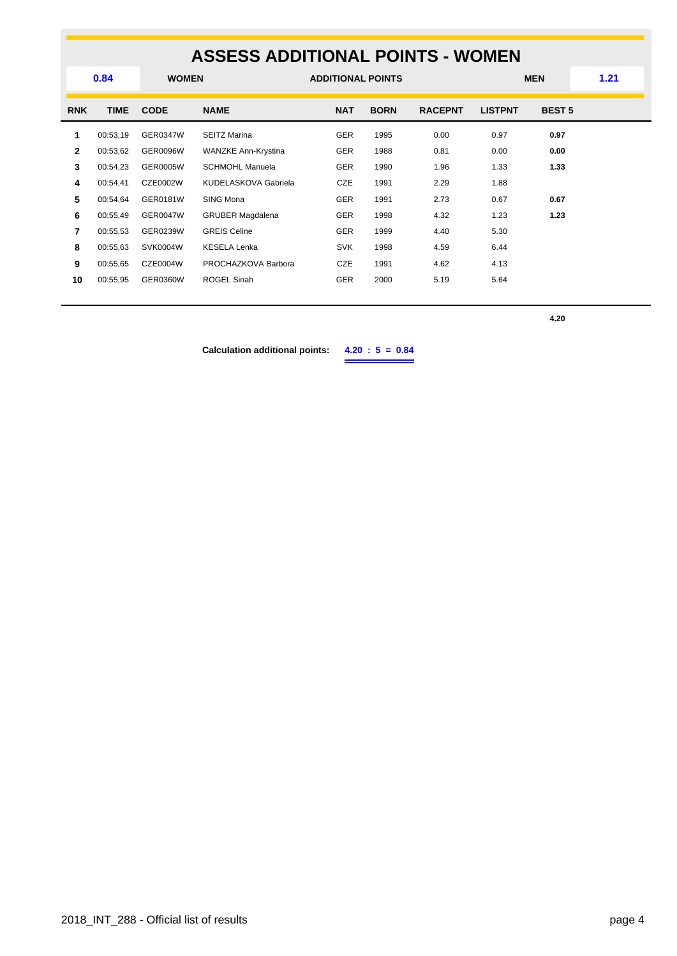## **ASSESS ADDITIONAL POINTS - WOMEN**

|              | 0.84<br><b>WOMEN</b> |                 | <b>ADDITIONAL POINTS</b> |            |             | <b>MEN</b>     |                | 1.21          |  |
|--------------|----------------------|-----------------|--------------------------|------------|-------------|----------------|----------------|---------------|--|
| <b>RNK</b>   | <b>TIME</b>          | <b>CODE</b>     | <b>NAME</b>              | <b>NAT</b> | <b>BORN</b> | <b>RACEPNT</b> | <b>LISTPNT</b> | <b>BEST 5</b> |  |
| 1            | 00:53,19             | <b>GER0347W</b> | <b>SEITZ Marina</b>      | <b>GER</b> | 1995        | 0.00           | 0.97           | 0.97          |  |
| $\mathbf{2}$ | 00:53,62             | <b>GER0096W</b> | WANZKE Ann-Krystina      | <b>GER</b> | 1988        | 0.81           | 0.00           | 0.00          |  |
| 3            | 00:54,23             | GER0005W        | <b>SCHMOHL Manuela</b>   | <b>GER</b> | 1990        | 1.96           | 1.33           | 1.33          |  |
| 4            | 00:54,41             | CZE0002W        | KUDELASKOVA Gabriela     | CZE        | 1991        | 2.29           | 1.88           |               |  |
| 5            | 00:54,64             | GER0181W        | SING Mona                | <b>GER</b> | 1991        | 2.73           | 0.67           | 0.67          |  |
| 6            | 00:55,49             | GER0047W        | <b>GRUBER Magdalena</b>  | <b>GER</b> | 1998        | 4.32           | 1.23           | 1.23          |  |
| 7            | 00:55,53             | GER0239W        | <b>GREIS Celine</b>      | <b>GER</b> | 1999        | 4.40           | 5.30           |               |  |
| 8            | 00:55.63             | SVK0004W        | <b>KESELA Lenka</b>      | <b>SVK</b> | 1998        | 4.59           | 6.44           |               |  |
| 9            | 00:55,65             | CZE0004W        | PROCHAZKOVA Barbora      | CZE        | 1991        | 4.62           | 4.13           |               |  |
| 10           | 00:55,95             | <b>GER0360W</b> | ROGEL Sinah              | <b>GER</b> | 2000        | 5.19           | 5.64           |               |  |
|              |                      |                 |                          |            |             |                |                |               |  |

**4.20**

**Calculation additional points: 4.20 : 5 = 0.84**